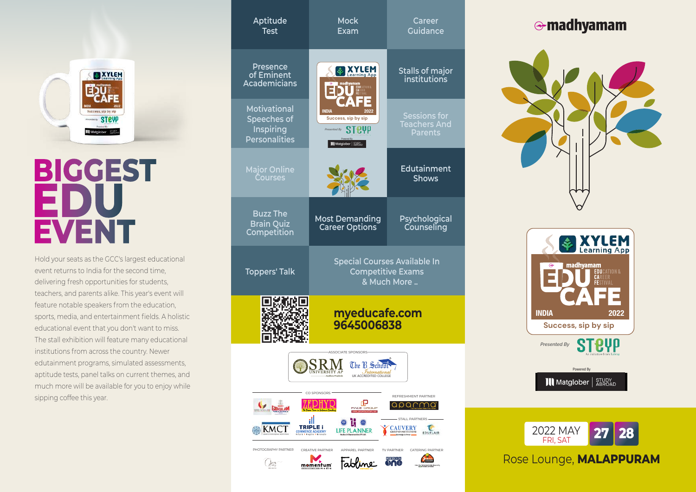

# **BIGGEST** DIU **EVENT**

Hold your seats as the GCC's largest educational event returns to India for the second time, delivering fresh opportunities for students, teachers, and parents alike. This year's event will feature notable speakers from the education, sports, media, and entertainment fields. A holistic educational event that you don't want to miss. The stall exhibition will feature many educational institutions from across the country. Newer edutainment programs, simulated assessments, aptitude tests, panel talks on current themes, and much more will be available for you to enjoy while sipping coffee this year.

| Aptitude<br><b>Test</b>                                                                                                                                                     | <b>Mock</b><br>Exam                                                                                  | <b>Career</b><br><b>Guidance</b>                             |  |  |  |
|-----------------------------------------------------------------------------------------------------------------------------------------------------------------------------|------------------------------------------------------------------------------------------------------|--------------------------------------------------------------|--|--|--|
| <b>Presence</b><br>of Eminent<br><b>Academicians</b>                                                                                                                        | <b>XYLEM</b>                                                                                         | <b>Stalls of major</b><br>institutions                       |  |  |  |
| <b>Motivational</b><br>Speeches of<br><b>Inspiring</b><br><b>Personalities</b>                                                                                              | <b>INDIA</b><br>2022<br>Success, sip by sip<br>STPVP<br>Presented By<br><b>III</b> Matglober   STUDY | <b>Sessions for</b><br><b>Teachers And</b><br><b>Parents</b> |  |  |  |
| <b>Major Online</b><br><b>Courses</b>                                                                                                                                       |                                                                                                      | <b>Edutainment</b><br><b>Shows</b>                           |  |  |  |
| <b>Buzz The</b><br><b>Brain Quiz</b><br>Competition                                                                                                                         | <b>Most Demanding</b><br><b>Career Options</b>                                                       | Psychological<br>Counseling                                  |  |  |  |
| <b>Toppers' Talk</b>                                                                                                                                                        | <b>Special Courses Available In</b>                                                                  | <b>Competitive Exams</b><br>& Much More                      |  |  |  |
|                                                                                                                                                                             | myeducafe.com<br>9645006838                                                                          |                                                              |  |  |  |
| <b>ASSOCIATE SPONSORS</b><br>The B School<br><b>Andhra Pradesh</b><br>UK ACCREDITED COLLEGE                                                                                 |                                                                                                      |                                                              |  |  |  |
| CO SPONSORS -<br>REFRESHMENT PARTNER<br>œ<br><b>MCE GROUP</b><br><b>BDKut</b><br>education.com                                                                              |                                                                                                      |                                                              |  |  |  |
| - STALL PARTNERS -<br>Ш<br>TRIPLE i<br><b>CAUVERY</b><br>GROUP OF INSTITUTIONS<br><b>COMMERCE ACADEMY</b><br>Inform I Inspire I Innovate<br>EDUFLAIR<br>Executedge is Power |                                                                                                      |                                                              |  |  |  |
| PHOTOGRAPHY PARTNER<br>CREATIVE PARTNER<br>APPAREL PARTNER<br>TV PARTNER<br>CATERING PARTNER<br>MEDIA<br>sem<br>nne<br>momentum<br>Amer Tref, Feddigment Kennist, N.        |                                                                                                      |                                                              |  |  |  |

## **e-madhyamam**